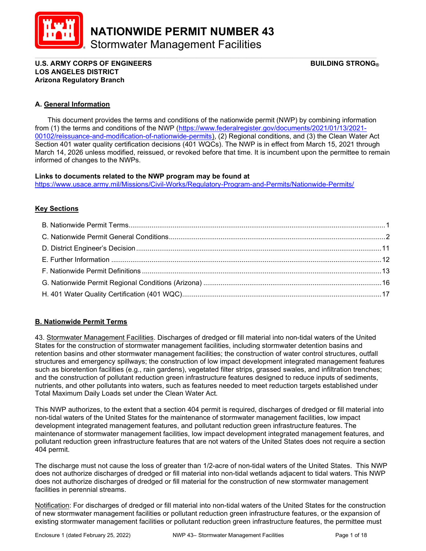

NATIONWIDE PERMIT NUMBER 43

Stormwater Management Facilities

U.S. ARMY CORPS OF ENGINEERS  $\begin{array}{ccc} \text{B} & \text{C} \end{array}$  building strong LOS ANGELES DISTRICT Arizona Regulatory Branch

## A. General Information

 This document provides the terms and conditions of the nationwide permit (NWP) by combining information from (1) the terms and conditions of the NWP (https://www.federalregister.gov/documents/2021/01/13/2021- 00102/reissuance-and-modification-of-nationwide-permits), (2) Regional conditions, and (3) the Clean Water Act Section 401 water quality certification decisions (401 WQCs). The NWP is in effect from March 15, 2021 through March 14, 2026 unless modified, reissued, or revoked before that time. It is incumbent upon the permittee to remain informed of changes to the NWPs.

\_\_\_\_\_\_\_\_\_\_\_\_\_\_\_\_\_\_\_\_\_\_\_\_\_\_\_\_\_\_\_\_\_\_\_\_\_\_\_\_\_\_\_\_\_\_\_\_\_\_\_\_\_\_\_\_\_\_\_\_\_\_\_\_\_\_\_\_\_\_\_\_\_\_\_\_\_\_\_\_\_\_\_\_\_\_\_\_\_

#### Links to documents related to the NWP program may be found at

https://www.usace.army.mil/Missions/Civil-Works/Regulatory-Program-and-Permits/Nationwide-Permits/

# Key Sections

## B. Nationwide Permit Terms

43. Stormwater Management Facilities. Discharges of dredged or fill material into non-tidal waters of the United States for the construction of stormwater management facilities, including stormwater detention basins and retention basins and other stormwater management facilities; the construction of water control structures, outfall structures and emergency spillways; the construction of low impact development integrated management features such as bioretention facilities (e.g., rain gardens), vegetated filter strips, grassed swales, and infiltration trenches; and the construction of pollutant reduction green infrastructure features designed to reduce inputs of sediments, nutrients, and other pollutants into waters, such as features needed to meet reduction targets established under Total Maximum Daily Loads set under the Clean Water Act.

This NWP authorizes, to the extent that a section 404 permit is required, discharges of dredged or fill material into non-tidal waters of the United States for the maintenance of stormwater management facilities, low impact development integrated management features, and pollutant reduction green infrastructure features. The maintenance of stormwater management facilities, low impact development integrated management features, and pollutant reduction green infrastructure features that are not waters of the United States does not require a section 404 permit.

The discharge must not cause the loss of greater than 1/2-acre of non-tidal waters of the United States. This NWP does not authorize discharges of dredged or fill material into non-tidal wetlands adjacent to tidal waters. This NWP does not authorize discharges of dredged or fill material for the construction of new stormwater management facilities in perennial streams.

Notification: For discharges of dredged or fill material into non-tidal waters of the United States for the construction of new stormwater management facilities or pollutant reduction green infrastructure features, or the expansion of existing stormwater management facilities or pollutant reduction green infrastructure features, the permittee must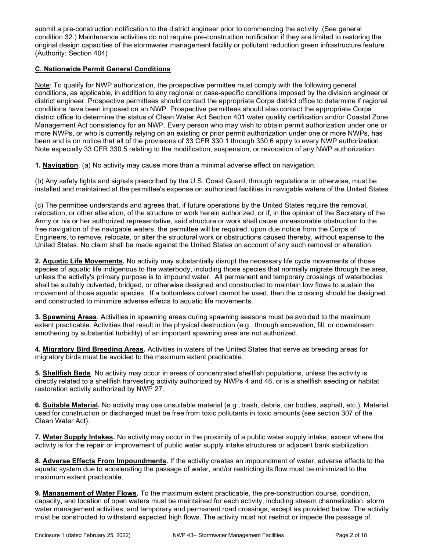submit a pre-construction notification to the district engineer prior to commencing the activity. (See general condition 32.) Maintenance activities do not require pre-construction notification if they are limited to restoring the original design capacities of the stormwater management facility or pollutant reduction green infrastructure feature. (Authority: Section 404)

# C. Nationwide Permit General Conditions

Note: To qualify for NWP authorization, the prospective permittee must comply with the following general conditions, as applicable, in addition to any regional or case-specific conditions imposed by the division engineer or district engineer. Prospective permittees should contact the appropriate Corps district office to determine if regional conditions have been imposed on an NWP. Prospective permittees should also contact the appropriate Corps district office to determine the status of Clean Water Act Section 401 water quality certification and/or Coastal Zone Management Act consistency for an NWP. Every person who may wish to obtain permit authorization under one or more NWPs, or who is currently relying on an existing or prior permit authorization under one or more NWPs, has been and is on notice that all of the provisions of 33 CFR 330.1 through 330.6 apply to every NWP authorization. Note especially 33 CFR 330.5 relating to the modification, suspension, or revocation of any NWP authorization.

1. Navigation. (a) No activity may cause more than a minimal adverse effect on navigation.

(b) Any safety lights and signals prescribed by the U.S. Coast Guard, through regulations or otherwise, must be installed and maintained at the permittee's expense on authorized facilities in navigable waters of the United States.

(c) The permittee understands and agrees that, if future operations by the United States require the removal, relocation, or other alteration, of the structure or work herein authorized, or if, in the opinion of the Secretary of the Army or his or her authorized representative, said structure or work shall cause unreasonable obstruction to the free navigation of the navigable waters, the permittee will be required, upon due notice from the Corps of Engineers, to remove, relocate, or alter the structural work or obstructions caused thereby, without expense to the United States. No claim shall be made against the United States on account of any such removal or alteration.

2. Aquatic Life Movements. No activity may substantially disrupt the necessary life cycle movements of those species of aquatic life indigenous to the waterbody, including those species that normally migrate through the area, unless the activity's primary purpose is to impound water. All permanent and temporary crossings of waterbodies shall be suitably culverted, bridged, or otherwise designed and constructed to maintain low flows to sustain the movement of those aquatic species. If a bottomless culvert cannot be used, then the crossing should be designed and constructed to minimize adverse effects to aquatic life movements.

3. Spawning Areas. Activities in spawning areas during spawning seasons must be avoided to the maximum extent practicable. Activities that result in the physical destruction (e.g., through excavation, fill, or downstream smothering by substantial turbidity) of an important spawning area are not authorized.

4. Migratory Bird Breeding Areas. Activities in waters of the United States that serve as breeding areas for migratory birds must be avoided to the maximum extent practicable.

5. Shellfish Beds. No activity may occur in areas of concentrated shellfish populations, unless the activity is directly related to a shellfish harvesting activity authorized by NWPs 4 and 48, or is a shellfish seeding or habitat restoration activity authorized by NWP 27.

6. Suitable Material. No activity may use unsuitable material (e.g., trash, debris, car bodies, asphalt, etc.). Material used for construction or discharged must be free from toxic pollutants in toxic amounts (see section 307 of the Clean Water Act).

7. Water Supply Intakes. No activity may occur in the proximity of a public water supply intake, except where the activity is for the repair or improvement of public water supply intake structures or adjacent bank stabilization.

8. Adverse Effects From Impoundments. If the activity creates an impoundment of water, adverse effects to the aquatic system due to accelerating the passage of water, and/or restricting its flow must be minimized to the maximum extent practicable.

9. Management of Water Flows. To the maximum extent practicable, the pre-construction course, condition, capacity, and location of open waters must be maintained for each activity, including stream channelization, storm water management activities, and temporary and permanent road crossings, except as provided below. The activity must be constructed to withstand expected high flows. The activity must not restrict or impede the passage of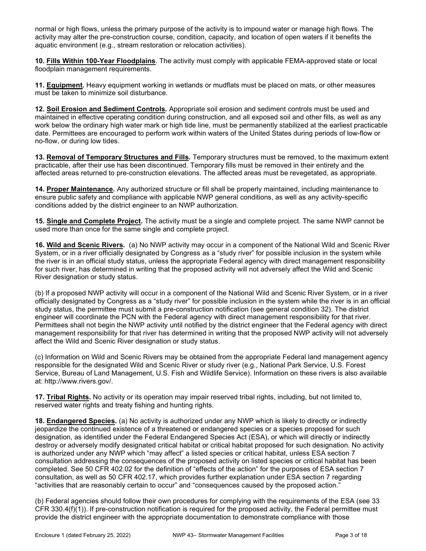normal or high flows, unless the primary purpose of the activity is to impound water or manage high flows. The activity may alter the pre-construction course, condition, capacity, and location of open waters if it benefits the aquatic environment (e.g., stream restoration or relocation activities).

10. Fills Within 100-Year Floodplains. The activity must comply with applicable FEMA-approved state or local floodplain management requirements.

11. Equipment. Heavy equipment working in wetlands or mudflats must be placed on mats, or other measures must be taken to minimize soil disturbance.

12. Soil Erosion and Sediment Controls. Appropriate soil erosion and sediment controls must be used and maintained in effective operating condition during construction, and all exposed soil and other fills, as well as any work below the ordinary high water mark or high tide line, must be permanently stabilized at the earliest practicable date. Permittees are encouraged to perform work within waters of the United States during periods of low-flow or no-flow, or during low tides.

13. Removal of Temporary Structures and Fills. Temporary structures must be removed, to the maximum extent practicable, after their use has been discontinued. Temporary fills must be removed in their entirety and the affected areas returned to pre-construction elevations. The affected areas must be revegetated, as appropriate.

14. Proper Maintenance. Any authorized structure or fill shall be properly maintained, including maintenance to ensure public safety and compliance with applicable NWP general conditions, as well as any activity-specific conditions added by the district engineer to an NWP authorization.

15. Single and Complete Project. The activity must be a single and complete project. The same NWP cannot be used more than once for the same single and complete project.

16. Wild and Scenic Rivers. (a) No NWP activity may occur in a component of the National Wild and Scenic River System, or in a river officially designated by Congress as a "study river" for possible inclusion in the system while the river is in an official study status, unless the appropriate Federal agency with direct management responsibility for such river, has determined in writing that the proposed activity will not adversely affect the Wild and Scenic River designation or study status.

(b) If a proposed NWP activity will occur in a component of the National Wild and Scenic River System, or in a river officially designated by Congress as a "study river" for possible inclusion in the system while the river is in an official study status, the permittee must submit a pre-construction notification (see general condition 32). The district engineer will coordinate the PCN with the Federal agency with direct management responsibility for that river. Permittees shall not begin the NWP activity until notified by the district engineer that the Federal agency with direct management responsibility for that river has determined in writing that the proposed NWP activity will not adversely affect the Wild and Scenic River designation or study status.

(c) Information on Wild and Scenic Rivers may be obtained from the appropriate Federal land management agency responsible for the designated Wild and Scenic River or study river (e.g., National Park Service, U.S. Forest Service, Bureau of Land Management, U.S. Fish and Wildlife Service). Information on these rivers is also available at: http://www.rivers.gov/.

17. Tribal Rights. No activity or its operation may impair reserved tribal rights, including, but not limited to, reserved water rights and treaty fishing and hunting rights.

18. Endangered Species. (a) No activity is authorized under any NWP which is likely to directly or indirectly jeopardize the continued existence of a threatened or endangered species or a species proposed for such designation, as identified under the Federal Endangered Species Act (ESA), or which will directly or indirectly destroy or adversely modify designated critical habitat or critical habitat proposed for such designation. No activity is authorized under any NWP which "may affect" a listed species or critical habitat, unless ESA section 7 consultation addressing the consequences of the proposed activity on listed species or critical habitat has been completed. See 50 CFR 402.02 for the definition of "effects of the action" for the purposes of ESA section 7 consultation, as well as 50 CFR 402.17, which provides further explanation under ESA section 7 regarding "activities that are reasonably certain to occur" and "consequences caused by the proposed action."

(b) Federal agencies should follow their own procedures for complying with the requirements of the ESA (see 33 CFR 330.4(f)(1)). If pre-construction notification is required for the proposed activity, the Federal permittee must provide the district engineer with the appropriate documentation to demonstrate compliance with those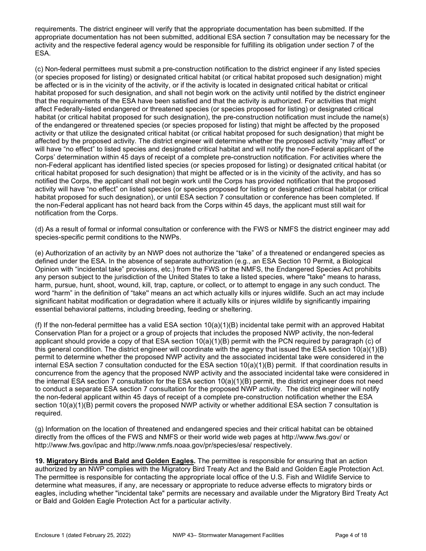requirements. The district engineer will verify that the appropriate documentation has been submitted. If the appropriate documentation has not been submitted, additional ESA section 7 consultation may be necessary for the activity and the respective federal agency would be responsible for fulfilling its obligation under section 7 of the ESA.

(c) Non-federal permittees must submit a pre-construction notification to the district engineer if any listed species (or species proposed for listing) or designated critical habitat (or critical habitat proposed such designation) might be affected or is in the vicinity of the activity, or if the activity is located in designated critical habitat or critical habitat proposed for such designation, and shall not begin work on the activity until notified by the district engineer that the requirements of the ESA have been satisfied and that the activity is authorized. For activities that might affect Federally-listed endangered or threatened species (or species proposed for listing) or designated critical habitat (or critical habitat proposed for such designation), the pre-construction notification must include the name(s) of the endangered or threatened species (or species proposed for listing) that might be affected by the proposed activity or that utilize the designated critical habitat (or critical habitat proposed for such designation) that might be affected by the proposed activity. The district engineer will determine whether the proposed activity "may affect" or will have "no effect" to listed species and designated critical habitat and will notify the non-Federal applicant of the Corps' determination within 45 days of receipt of a complete pre-construction notification. For activities where the non-Federal applicant has identified listed species (or species proposed for listing) or designated critical habitat (or critical habitat proposed for such designation) that might be affected or is in the vicinity of the activity, and has so notified the Corps, the applicant shall not begin work until the Corps has provided notification that the proposed activity will have "no effect" on listed species (or species proposed for listing or designated critical habitat (or critical habitat proposed for such designation), or until ESA section 7 consultation or conference has been completed. If the non-Federal applicant has not heard back from the Corps within 45 days, the applicant must still wait for notification from the Corps.

(d) As a result of formal or informal consultation or conference with the FWS or NMFS the district engineer may add species-specific permit conditions to the NWPs.

(e) Authorization of an activity by an NWP does not authorize the "take" of a threatened or endangered species as defined under the ESA. In the absence of separate authorization (e.g., an ESA Section 10 Permit, a Biological Opinion with "incidental take" provisions, etc.) from the FWS or the NMFS, the Endangered Species Act prohibits any person subject to the jurisdiction of the United States to take a listed species, where "take" means to harass, harm, pursue, hunt, shoot, wound, kill, trap, capture, or collect, or to attempt to engage in any such conduct. The word "harm" in the definition of "take'' means an act which actually kills or injures wildlife. Such an act may include significant habitat modification or degradation where it actually kills or injures wildlife by significantly impairing essential behavioral patterns, including breeding, feeding or sheltering.

(f) If the non-federal permittee has a valid ESA section  $10(a)(1)(B)$  incidental take permit with an approved Habitat Conservation Plan for a project or a group of projects that includes the proposed NWP activity, the non-federal applicant should provide a copy of that ESA section 10(a)(1)(B) permit with the PCN required by paragraph (c) of this general condition. The district engineer will coordinate with the agency that issued the ESA section 10(a)(1)(B) permit to determine whether the proposed NWP activity and the associated incidental take were considered in the internal ESA section 7 consultation conducted for the ESA section 10(a)(1)(B) permit. If that coordination results in concurrence from the agency that the proposed NWP activity and the associated incidental take were considered in the internal ESA section 7 consultation for the ESA section 10(a)(1)(B) permit, the district engineer does not need to conduct a separate ESA section 7 consultation for the proposed NWP activity. The district engineer will notify the non-federal applicant within 45 days of receipt of a complete pre-construction notification whether the ESA section 10(a)(1)(B) permit covers the proposed NWP activity or whether additional ESA section 7 consultation is required.

(g) Information on the location of threatened and endangered species and their critical habitat can be obtained directly from the offices of the FWS and NMFS or their world wide web pages at http://www.fws.gov/ or http://www.fws.gov/ipac and http://www.nmfs.noaa.gov/pr/species/esa/ respectively.

19. Migratory Birds and Bald and Golden Eagles. The permittee is responsible for ensuring that an action authorized by an NWP complies with the Migratory Bird Treaty Act and the Bald and Golden Eagle Protection Act. The permittee is responsible for contacting the appropriate local office of the U.S. Fish and Wildlife Service to determine what measures, if any, are necessary or appropriate to reduce adverse effects to migratory birds or eagles, including whether "incidental take" permits are necessary and available under the Migratory Bird Treaty Act or Bald and Golden Eagle Protection Act for a particular activity.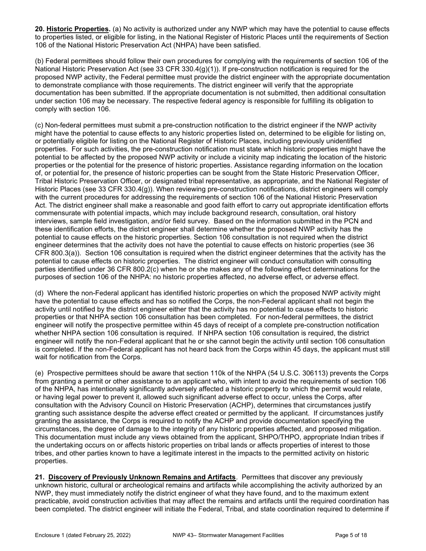20. Historic Properties. (a) No activity is authorized under any NWP which may have the potential to cause effects to properties listed, or eligible for listing, in the National Register of Historic Places until the requirements of Section 106 of the National Historic Preservation Act (NHPA) have been satisfied.

(b) Federal permittees should follow their own procedures for complying with the requirements of section 106 of the National Historic Preservation Act (see 33 CFR 330.4(g)(1)). If pre-construction notification is required for the proposed NWP activity, the Federal permittee must provide the district engineer with the appropriate documentation to demonstrate compliance with those requirements. The district engineer will verify that the appropriate documentation has been submitted. If the appropriate documentation is not submitted, then additional consultation under section 106 may be necessary. The respective federal agency is responsible for fulfilling its obligation to comply with section 106.

(c) Non-federal permittees must submit a pre-construction notification to the district engineer if the NWP activity might have the potential to cause effects to any historic properties listed on, determined to be eligible for listing on, or potentially eligible for listing on the National Register of Historic Places, including previously unidentified properties. For such activities, the pre-construction notification must state which historic properties might have the potential to be affected by the proposed NWP activity or include a vicinity map indicating the location of the historic properties or the potential for the presence of historic properties. Assistance regarding information on the location of, or potential for, the presence of historic properties can be sought from the State Historic Preservation Officer, Tribal Historic Preservation Officer, or designated tribal representative, as appropriate, and the National Register of Historic Places (see 33 CFR 330.4(g)). When reviewing pre-construction notifications, district engineers will comply with the current procedures for addressing the requirements of section 106 of the National Historic Preservation Act. The district engineer shall make a reasonable and good faith effort to carry out appropriate identification efforts commensurate with potential impacts, which may include background research, consultation, oral history interviews, sample field investigation, and/or field survey. Based on the information submitted in the PCN and these identification efforts, the district engineer shall determine whether the proposed NWP activity has the potential to cause effects on the historic properties. Section 106 consultation is not required when the district engineer determines that the activity does not have the potential to cause effects on historic properties (see 36 CFR 800.3(a)). Section 106 consultation is required when the district engineer determines that the activity has the potential to cause effects on historic properties. The district engineer will conduct consultation with consulting parties identified under 36 CFR 800.2(c) when he or she makes any of the following effect determinations for the purposes of section 106 of the NHPA: no historic properties affected, no adverse effect, or adverse effect.

(d) Where the non-Federal applicant has identified historic properties on which the proposed NWP activity might have the potential to cause effects and has so notified the Corps, the non-Federal applicant shall not begin the activity until notified by the district engineer either that the activity has no potential to cause effects to historic properties or that NHPA section 106 consultation has been completed. For non-federal permittees, the district engineer will notify the prospective permittee within 45 days of receipt of a complete pre-construction notification whether NHPA section 106 consultation is required. If NHPA section 106 consultation is required, the district engineer will notify the non-Federal applicant that he or she cannot begin the activity until section 106 consultation is completed. If the non-Federal applicant has not heard back from the Corps within 45 days, the applicant must still wait for notification from the Corps.

(e) Prospective permittees should be aware that section 110k of the NHPA (54 U.S.C. 306113) prevents the Corps from granting a permit or other assistance to an applicant who, with intent to avoid the requirements of section 106 of the NHPA, has intentionally significantly adversely affected a historic property to which the permit would relate, or having legal power to prevent it, allowed such significant adverse effect to occur, unless the Corps, after consultation with the Advisory Council on Historic Preservation (ACHP), determines that circumstances justify granting such assistance despite the adverse effect created or permitted by the applicant. If circumstances justify granting the assistance, the Corps is required to notify the ACHP and provide documentation specifying the circumstances, the degree of damage to the integrity of any historic properties affected, and proposed mitigation. This documentation must include any views obtained from the applicant, SHPO/THPO, appropriate Indian tribes if the undertaking occurs on or affects historic properties on tribal lands or affects properties of interest to those tribes, and other parties known to have a legitimate interest in the impacts to the permitted activity on historic properties.

21. Discovery of Previously Unknown Remains and Artifacts. Permittees that discover any previously unknown historic, cultural or archeological remains and artifacts while accomplishing the activity authorized by an NWP, they must immediately notify the district engineer of what they have found, and to the maximum extent practicable, avoid construction activities that may affect the remains and artifacts until the required coordination has been completed. The district engineer will initiate the Federal, Tribal, and state coordination required to determine if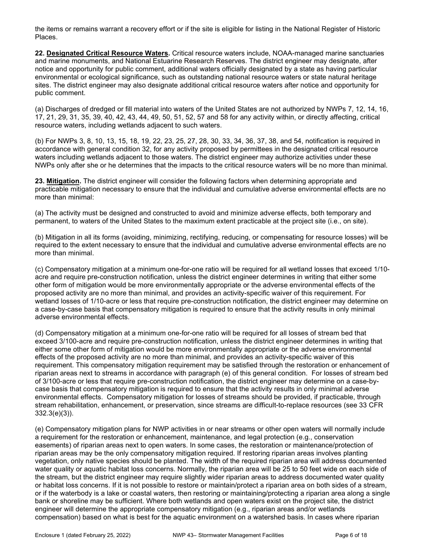the items or remains warrant a recovery effort or if the site is eligible for listing in the National Register of Historic Places.

22. Designated Critical Resource Waters. Critical resource waters include, NOAA-managed marine sanctuaries and marine monuments, and National Estuarine Research Reserves. The district engineer may designate, after notice and opportunity for public comment, additional waters officially designated by a state as having particular environmental or ecological significance, such as outstanding national resource waters or state natural heritage sites. The district engineer may also designate additional critical resource waters after notice and opportunity for public comment.

(a) Discharges of dredged or fill material into waters of the United States are not authorized by NWPs 7, 12, 14, 16, 17, 21, 29, 31, 35, 39, 40, 42, 43, 44, 49, 50, 51, 52, 57 and 58 for any activity within, or directly affecting, critical resource waters, including wetlands adjacent to such waters.

(b) For NWPs 3, 8, 10, 13, 15, 18, 19, 22, 23, 25, 27, 28, 30, 33, 34, 36, 37, 38, and 54, notification is required in accordance with general condition 32, for any activity proposed by permittees in the designated critical resource waters including wetlands adjacent to those waters. The district engineer may authorize activities under these NWPs only after she or he determines that the impacts to the critical resource waters will be no more than minimal.

23. Mitigation. The district engineer will consider the following factors when determining appropriate and practicable mitigation necessary to ensure that the individual and cumulative adverse environmental effects are no more than minimal:

(a) The activity must be designed and constructed to avoid and minimize adverse effects, both temporary and permanent, to waters of the United States to the maximum extent practicable at the project site (i.e., on site).

(b) Mitigation in all its forms (avoiding, minimizing, rectifying, reducing, or compensating for resource losses) will be required to the extent necessary to ensure that the individual and cumulative adverse environmental effects are no more than minimal.

(c) Compensatory mitigation at a minimum one-for-one ratio will be required for all wetland losses that exceed 1/10 acre and require pre-construction notification, unless the district engineer determines in writing that either some other form of mitigation would be more environmentally appropriate or the adverse environmental effects of the proposed activity are no more than minimal, and provides an activity-specific waiver of this requirement. For wetland losses of 1/10-acre or less that require pre-construction notification, the district engineer may determine on a case-by-case basis that compensatory mitigation is required to ensure that the activity results in only minimal adverse environmental effects.

(d) Compensatory mitigation at a minimum one-for-one ratio will be required for all losses of stream bed that exceed 3/100-acre and require pre-construction notification, unless the district engineer determines in writing that either some other form of mitigation would be more environmentally appropriate or the adverse environmental effects of the proposed activity are no more than minimal, and provides an activity-specific waiver of this requirement. This compensatory mitigation requirement may be satisfied through the restoration or enhancement of riparian areas next to streams in accordance with paragraph (e) of this general condition. For losses of stream bed of 3/100-acre or less that require pre-construction notification, the district engineer may determine on a case-bycase basis that compensatory mitigation is required to ensure that the activity results in only minimal adverse environmental effects. Compensatory mitigation for losses of streams should be provided, if practicable, through stream rehabilitation, enhancement, or preservation, since streams are difficult-to-replace resources (see 33 CFR 332.3(e)(3)).

(e) Compensatory mitigation plans for NWP activities in or near streams or other open waters will normally include a requirement for the restoration or enhancement, maintenance, and legal protection (e.g., conservation easements) of riparian areas next to open waters. In some cases, the restoration or maintenance/protection of riparian areas may be the only compensatory mitigation required. If restoring riparian areas involves planting vegetation, only native species should be planted. The width of the required riparian area will address documented water quality or aquatic habitat loss concerns. Normally, the riparian area will be 25 to 50 feet wide on each side of the stream, but the district engineer may require slightly wider riparian areas to address documented water quality or habitat loss concerns. If it is not possible to restore or maintain/protect a riparian area on both sides of a stream, or if the waterbody is a lake or coastal waters, then restoring or maintaining/protecting a riparian area along a single bank or shoreline may be sufficient. Where both wetlands and open waters exist on the project site, the district engineer will determine the appropriate compensatory mitigation (e.g., riparian areas and/or wetlands compensation) based on what is best for the aquatic environment on a watershed basis. In cases where riparian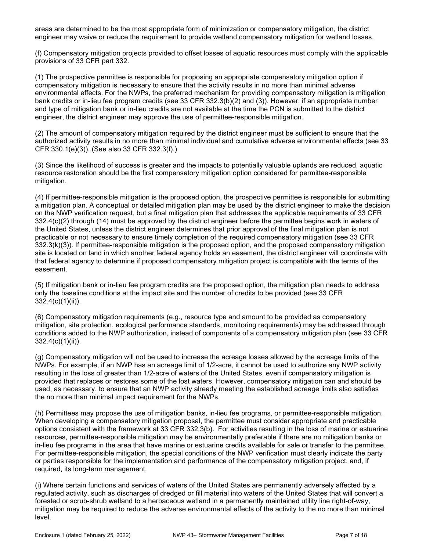areas are determined to be the most appropriate form of minimization or compensatory mitigation, the district engineer may waive or reduce the requirement to provide wetland compensatory mitigation for wetland losses.

(f) Compensatory mitigation projects provided to offset losses of aquatic resources must comply with the applicable provisions of 33 CFR part 332.

(1) The prospective permittee is responsible for proposing an appropriate compensatory mitigation option if compensatory mitigation is necessary to ensure that the activity results in no more than minimal adverse environmental effects. For the NWPs, the preferred mechanism for providing compensatory mitigation is mitigation bank credits or in-lieu fee program credits (see 33 CFR 332.3(b)(2) and (3)). However, if an appropriate number and type of mitigation bank or in-lieu credits are not available at the time the PCN is submitted to the district engineer, the district engineer may approve the use of permittee-responsible mitigation.

(2) The amount of compensatory mitigation required by the district engineer must be sufficient to ensure that the authorized activity results in no more than minimal individual and cumulative adverse environmental effects (see 33 CFR 330.1(e)(3)). (See also 33 CFR 332.3(f).)

(3) Since the likelihood of success is greater and the impacts to potentially valuable uplands are reduced, aquatic resource restoration should be the first compensatory mitigation option considered for permittee-responsible mitigation.

(4) If permittee-responsible mitigation is the proposed option, the prospective permittee is responsible for submitting a mitigation plan. A conceptual or detailed mitigation plan may be used by the district engineer to make the decision on the NWP verification request, but a final mitigation plan that addresses the applicable requirements of 33 CFR 332.4(c)(2) through (14) must be approved by the district engineer before the permittee begins work in waters of the United States, unless the district engineer determines that prior approval of the final mitigation plan is not practicable or not necessary to ensure timely completion of the required compensatory mitigation (see 33 CFR 332.3(k)(3)). If permittee-responsible mitigation is the proposed option, and the proposed compensatory mitigation site is located on land in which another federal agency holds an easement, the district engineer will coordinate with that federal agency to determine if proposed compensatory mitigation project is compatible with the terms of the easement.

(5) If mitigation bank or in-lieu fee program credits are the proposed option, the mitigation plan needs to address only the baseline conditions at the impact site and the number of credits to be provided (see 33 CFR 332.4(c)(1)(ii)).

(6) Compensatory mitigation requirements (e.g., resource type and amount to be provided as compensatory mitigation, site protection, ecological performance standards, monitoring requirements) may be addressed through conditions added to the NWP authorization, instead of components of a compensatory mitigation plan (see 33 CFR 332.4(c)(1)(ii)).

(g) Compensatory mitigation will not be used to increase the acreage losses allowed by the acreage limits of the NWPs. For example, if an NWP has an acreage limit of 1/2-acre, it cannot be used to authorize any NWP activity resulting in the loss of greater than 1/2-acre of waters of the United States, even if compensatory mitigation is provided that replaces or restores some of the lost waters. However, compensatory mitigation can and should be used, as necessary, to ensure that an NWP activity already meeting the established acreage limits also satisfies the no more than minimal impact requirement for the NWPs.

(h) Permittees may propose the use of mitigation banks, in-lieu fee programs, or permittee-responsible mitigation. When developing a compensatory mitigation proposal, the permittee must consider appropriate and practicable options consistent with the framework at 33 CFR 332.3(b). For activities resulting in the loss of marine or estuarine resources, permittee-responsible mitigation may be environmentally preferable if there are no mitigation banks or in-lieu fee programs in the area that have marine or estuarine credits available for sale or transfer to the permittee. For permittee-responsible mitigation, the special conditions of the NWP verification must clearly indicate the party or parties responsible for the implementation and performance of the compensatory mitigation project, and, if required, its long-term management.

(i) Where certain functions and services of waters of the United States are permanently adversely affected by a regulated activity, such as discharges of dredged or fill material into waters of the United States that will convert a forested or scrub-shrub wetland to a herbaceous wetland in a permanently maintained utility line right-of-way, mitigation may be required to reduce the adverse environmental effects of the activity to the no more than minimal level.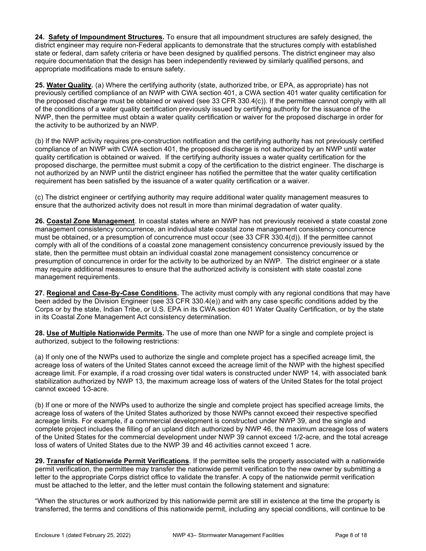24. Safety of Impoundment Structures. To ensure that all impoundment structures are safely designed, the district engineer may require non-Federal applicants to demonstrate that the structures comply with established state or federal, dam safety criteria or have been designed by qualified persons. The district engineer may also require documentation that the design has been independently reviewed by similarly qualified persons, and appropriate modifications made to ensure safety.

25. Water Quality. (a) Where the certifying authority (state, authorized tribe, or EPA, as appropriate) has not previously certified compliance of an NWP with CWA section 401, a CWA section 401 water quality certification for the proposed discharge must be obtained or waived (see 33 CFR 330.4(c)). If the permittee cannot comply with all of the conditions of a water quality certification previously issued by certifying authority for the issuance of the NWP, then the permittee must obtain a water quality certification or waiver for the proposed discharge in order for the activity to be authorized by an NWP.

(b) If the NWP activity requires pre-construction notification and the certifying authority has not previously certified compliance of an NWP with CWA section 401, the proposed discharge is not authorized by an NWP until water quality certification is obtained or waived. If the certifying authority issues a water quality certification for the proposed discharge, the permittee must submit a copy of the certification to the district engineer. The discharge is not authorized by an NWP until the district engineer has notified the permittee that the water quality certification requirement has been satisfied by the issuance of a water quality certification or a waiver.

(c) The district engineer or certifying authority may require additional water quality management measures to ensure that the authorized activity does not result in more than minimal degradation of water quality.

26. Coastal Zone Management. In coastal states where an NWP has not previously received a state coastal zone management consistency concurrence, an individual state coastal zone management consistency concurrence must be obtained, or a presumption of concurrence must occur (see 33 CFR 330.4(d)). If the permittee cannot comply with all of the conditions of a coastal zone management consistency concurrence previously issued by the state, then the permittee must obtain an individual coastal zone management consistency concurrence or presumption of concurrence in order for the activity to be authorized by an NWP. The district engineer or a state may require additional measures to ensure that the authorized activity is consistent with state coastal zone management requirements.

27. Regional and Case-By-Case Conditions. The activity must comply with any regional conditions that may have been added by the Division Engineer (see 33 CFR 330.4(e)) and with any case specific conditions added by the Corps or by the state, Indian Tribe, or U.S. EPA in its CWA section 401 Water Quality Certification, or by the state in its Coastal Zone Management Act consistency determination.

28. Use of Multiple Nationwide Permits. The use of more than one NWP for a single and complete project is authorized, subject to the following restrictions:

(a) If only one of the NWPs used to authorize the single and complete project has a specified acreage limit, the acreage loss of waters of the United States cannot exceed the acreage limit of the NWP with the highest specified acreage limit. For example, if a road crossing over tidal waters is constructed under NWP 14, with associated bank stabilization authorized by NWP 13, the maximum acreage loss of waters of the United States for the total project cannot exceed 1/3-acre.

(b) If one or more of the NWPs used to authorize the single and complete project has specified acreage limits, the acreage loss of waters of the United States authorized by those NWPs cannot exceed their respective specified acreage limits. For example, if a commercial development is constructed under NWP 39, and the single and complete project includes the filling of an upland ditch authorized by NWP 46, the maximum acreage loss of waters of the United States for the commercial development under NWP 39 cannot exceed 1/2-acre, and the total acreage loss of waters of United States due to the NWP 39 and 46 activities cannot exceed 1 acre.

29. Transfer of Nationwide Permit Verifications. If the permittee sells the property associated with a nationwide permit verification, the permittee may transfer the nationwide permit verification to the new owner by submitting a letter to the appropriate Corps district office to validate the transfer. A copy of the nationwide permit verification must be attached to the letter, and the letter must contain the following statement and signature:

"When the structures or work authorized by this nationwide permit are still in existence at the time the property is transferred, the terms and conditions of this nationwide permit, including any special conditions, will continue to be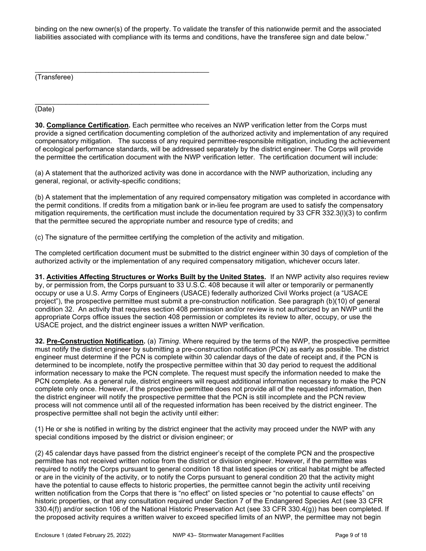binding on the new owner(s) of the property. To validate the transfer of this nationwide permit and the associated liabilities associated with compliance with its terms and conditions, have the transferee sign and date below."

\_\_\_\_\_\_\_\_\_\_\_\_\_\_\_\_\_\_\_\_\_\_\_\_\_\_\_\_\_\_\_\_\_\_\_\_\_\_\_\_\_\_\_\_\_ (Transferee)

\_\_\_\_\_\_\_\_\_\_\_\_\_\_\_\_\_\_\_\_\_\_\_\_\_\_\_\_\_\_\_\_\_\_\_\_\_\_\_\_\_\_\_\_\_

(Date)

30. Compliance Certification. Each permittee who receives an NWP verification letter from the Corps must provide a signed certification documenting completion of the authorized activity and implementation of any required compensatory mitigation. The success of any required permittee-responsible mitigation, including the achievement of ecological performance standards, will be addressed separately by the district engineer. The Corps will provide the permittee the certification document with the NWP verification letter. The certification document will include:

(a) A statement that the authorized activity was done in accordance with the NWP authorization, including any general, regional, or activity-specific conditions;

(b) A statement that the implementation of any required compensatory mitigation was completed in accordance with the permit conditions. If credits from a mitigation bank or in-lieu fee program are used to satisfy the compensatory mitigation requirements, the certification must include the documentation required by 33 CFR 332.3(l)(3) to confirm that the permittee secured the appropriate number and resource type of credits; and

(c) The signature of the permittee certifying the completion of the activity and mitigation.

The completed certification document must be submitted to the district engineer within 30 days of completion of the authorized activity or the implementation of any required compensatory mitigation, whichever occurs later.

31. Activities Affecting Structures or Works Built by the United States. If an NWP activity also requires review by, or permission from, the Corps pursuant to 33 U.S.C. 408 because it will alter or temporarily or permanently occupy or use a U.S. Army Corps of Engineers (USACE) federally authorized Civil Works project (a "USACE project"), the prospective permittee must submit a pre-construction notification. See paragraph (b)(10) of general condition 32. An activity that requires section 408 permission and/or review is not authorized by an NWP until the appropriate Corps office issues the section 408 permission or completes its review to alter, occupy, or use the USACE project, and the district engineer issues a written NWP verification.

32. Pre-Construction Notification. (a) Timing. Where required by the terms of the NWP, the prospective permittee must notify the district engineer by submitting a pre-construction notification (PCN) as early as possible. The district engineer must determine if the PCN is complete within 30 calendar days of the date of receipt and, if the PCN is determined to be incomplete, notify the prospective permittee within that 30 day period to request the additional information necessary to make the PCN complete. The request must specify the information needed to make the PCN complete. As a general rule, district engineers will request additional information necessary to make the PCN complete only once. However, if the prospective permittee does not provide all of the requested information, then the district engineer will notify the prospective permittee that the PCN is still incomplete and the PCN review process will not commence until all of the requested information has been received by the district engineer. The prospective permittee shall not begin the activity until either:

(1) He or she is notified in writing by the district engineer that the activity may proceed under the NWP with any special conditions imposed by the district or division engineer; or

(2) 45 calendar days have passed from the district engineer's receipt of the complete PCN and the prospective permittee has not received written notice from the district or division engineer. However, if the permittee was required to notify the Corps pursuant to general condition 18 that listed species or critical habitat might be affected or are in the vicinity of the activity, or to notify the Corps pursuant to general condition 20 that the activity might have the potential to cause effects to historic properties, the permittee cannot begin the activity until receiving written notification from the Corps that there is "no effect" on listed species or "no potential to cause effects" on historic properties, or that any consultation required under Section 7 of the Endangered Species Act (see 33 CFR 330.4(f)) and/or section 106 of the National Historic Preservation Act (see 33 CFR 330.4(g)) has been completed. If the proposed activity requires a written waiver to exceed specified limits of an NWP, the permittee may not begin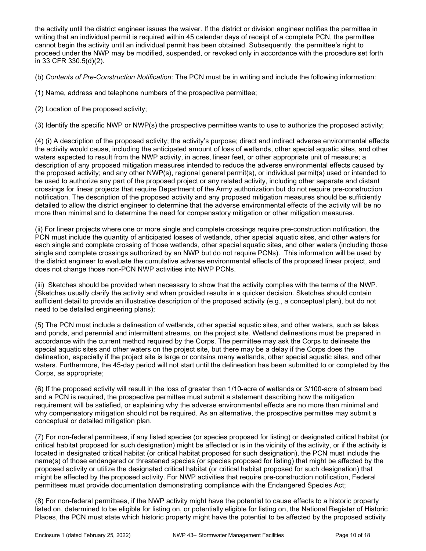the activity until the district engineer issues the waiver. If the district or division engineer notifies the permittee in writing that an individual permit is required within 45 calendar days of receipt of a complete PCN, the permittee cannot begin the activity until an individual permit has been obtained. Subsequently, the permittee's right to proceed under the NWP may be modified, suspended, or revoked only in accordance with the procedure set forth in 33 CFR 330.5(d)(2).

(b) Contents of Pre-Construction Notification: The PCN must be in writing and include the following information:

(1) Name, address and telephone numbers of the prospective permittee;

(2) Location of the proposed activity;

(3) Identify the specific NWP or NWP(s) the prospective permittee wants to use to authorize the proposed activity;

(4) (i) A description of the proposed activity; the activity's purpose; direct and indirect adverse environmental effects the activity would cause, including the anticipated amount of loss of wetlands, other special aquatic sites, and other waters expected to result from the NWP activity, in acres, linear feet, or other appropriate unit of measure; a description of any proposed mitigation measures intended to reduce the adverse environmental effects caused by the proposed activity; and any other NWP(s), regional general permit(s), or individual permit(s) used or intended to be used to authorize any part of the proposed project or any related activity, including other separate and distant crossings for linear projects that require Department of the Army authorization but do not require pre-construction notification. The description of the proposed activity and any proposed mitigation measures should be sufficiently detailed to allow the district engineer to determine that the adverse environmental effects of the activity will be no more than minimal and to determine the need for compensatory mitigation or other mitigation measures.

(ii) For linear projects where one or more single and complete crossings require pre-construction notification, the PCN must include the quantity of anticipated losses of wetlands, other special aquatic sites, and other waters for each single and complete crossing of those wetlands, other special aquatic sites, and other waters (including those single and complete crossings authorized by an NWP but do not require PCNs). This information will be used by the district engineer to evaluate the cumulative adverse environmental effects of the proposed linear project, and does not change those non-PCN NWP activities into NWP PCNs.

(iii) Sketches should be provided when necessary to show that the activity complies with the terms of the NWP. (Sketches usually clarify the activity and when provided results in a quicker decision. Sketches should contain sufficient detail to provide an illustrative description of the proposed activity (e.g., a conceptual plan), but do not need to be detailed engineering plans);

(5) The PCN must include a delineation of wetlands, other special aquatic sites, and other waters, such as lakes and ponds, and perennial and intermittent streams, on the project site. Wetland delineations must be prepared in accordance with the current method required by the Corps. The permittee may ask the Corps to delineate the special aquatic sites and other waters on the project site, but there may be a delay if the Corps does the delineation, especially if the project site is large or contains many wetlands, other special aquatic sites, and other waters. Furthermore, the 45-day period will not start until the delineation has been submitted to or completed by the Corps, as appropriate;

(6) If the proposed activity will result in the loss of greater than 1/10-acre of wetlands or 3/100-acre of stream bed and a PCN is required, the prospective permittee must submit a statement describing how the mitigation requirement will be satisfied, or explaining why the adverse environmental effects are no more than minimal and why compensatory mitigation should not be required. As an alternative, the prospective permittee may submit a conceptual or detailed mitigation plan.

(7) For non-federal permittees, if any listed species (or species proposed for listing) or designated critical habitat (or critical habitat proposed for such designation) might be affected or is in the vicinity of the activity, or if the activity is located in designated critical habitat (or critical habitat proposed for such designation), the PCN must include the name(s) of those endangered or threatened species (or species proposed for listing) that might be affected by the proposed activity or utilize the designated critical habitat (or critical habitat proposed for such designation) that might be affected by the proposed activity. For NWP activities that require pre-construction notification, Federal permittees must provide documentation demonstrating compliance with the Endangered Species Act;

(8) For non-federal permittees, if the NWP activity might have the potential to cause effects to a historic property listed on, determined to be eligible for listing on, or potentially eligible for listing on, the National Register of Historic Places, the PCN must state which historic property might have the potential to be affected by the proposed activity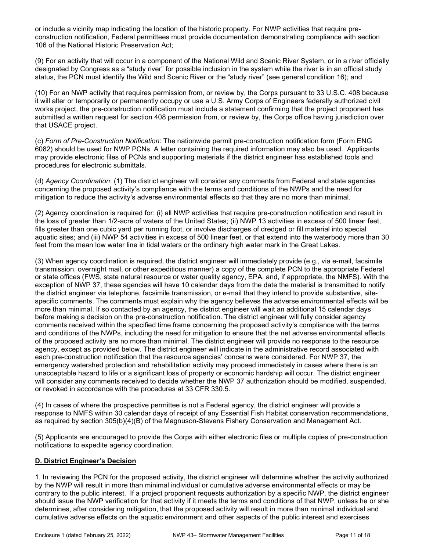or include a vicinity map indicating the location of the historic property. For NWP activities that require preconstruction notification, Federal permittees must provide documentation demonstrating compliance with section 106 of the National Historic Preservation Act;

(9) For an activity that will occur in a component of the National Wild and Scenic River System, or in a river officially designated by Congress as a "study river" for possible inclusion in the system while the river is in an official study status, the PCN must identify the Wild and Scenic River or the "study river" (see general condition 16); and

(10) For an NWP activity that requires permission from, or review by, the Corps pursuant to 33 U.S.C. 408 because it will alter or temporarily or permanently occupy or use a U.S. Army Corps of Engineers federally authorized civil works project, the pre-construction notification must include a statement confirming that the project proponent has submitted a written request for section 408 permission from, or review by, the Corps office having jurisdiction over that USACE project.

(c) Form of Pre-Construction Notification: The nationwide permit pre-construction notification form (Form ENG 6082) should be used for NWP PCNs. A letter containing the required information may also be used. Applicants may provide electronic files of PCNs and supporting materials if the district engineer has established tools and procedures for electronic submittals.

(d) Agency Coordination: (1) The district engineer will consider any comments from Federal and state agencies concerning the proposed activity's compliance with the terms and conditions of the NWPs and the need for mitigation to reduce the activity's adverse environmental effects so that they are no more than minimal.

(2) Agency coordination is required for: (i) all NWP activities that require pre-construction notification and result in the loss of greater than 1/2-acre of waters of the United States; (ii) NWP 13 activities in excess of 500 linear feet, fills greater than one cubic yard per running foot, or involve discharges of dredged or fill material into special aquatic sites; and (iii) NWP 54 activities in excess of 500 linear feet, or that extend into the waterbody more than 30 feet from the mean low water line in tidal waters or the ordinary high water mark in the Great Lakes.

(3) When agency coordination is required, the district engineer will immediately provide (e.g., via e-mail, facsimile transmission, overnight mail, or other expeditious manner) a copy of the complete PCN to the appropriate Federal or state offices (FWS, state natural resource or water quality agency, EPA, and, if appropriate, the NMFS). With the exception of NWP 37, these agencies will have 10 calendar days from the date the material is transmitted to notify the district engineer via telephone, facsimile transmission, or e-mail that they intend to provide substantive, sitespecific comments. The comments must explain why the agency believes the adverse environmental effects will be more than minimal. If so contacted by an agency, the district engineer will wait an additional 15 calendar days before making a decision on the pre-construction notification. The district engineer will fully consider agency comments received within the specified time frame concerning the proposed activity's compliance with the terms and conditions of the NWPs, including the need for mitigation to ensure that the net adverse environmental effects of the proposed activity are no more than minimal. The district engineer will provide no response to the resource agency, except as provided below. The district engineer will indicate in the administrative record associated with each pre-construction notification that the resource agencies' concerns were considered. For NWP 37, the emergency watershed protection and rehabilitation activity may proceed immediately in cases where there is an unacceptable hazard to life or a significant loss of property or economic hardship will occur. The district engineer will consider any comments received to decide whether the NWP 37 authorization should be modified, suspended, or revoked in accordance with the procedures at 33 CFR 330.5.

(4) In cases of where the prospective permittee is not a Federal agency, the district engineer will provide a response to NMFS within 30 calendar days of receipt of any Essential Fish Habitat conservation recommendations, as required by section 305(b)(4)(B) of the Magnuson-Stevens Fishery Conservation and Management Act.

(5) Applicants are encouraged to provide the Corps with either electronic files or multiple copies of pre-construction notifications to expedite agency coordination.

## D. District Engineer's Decision

1. In reviewing the PCN for the proposed activity, the district engineer will determine whether the activity authorized by the NWP will result in more than minimal individual or cumulative adverse environmental effects or may be contrary to the public interest. If a project proponent requests authorization by a specific NWP, the district engineer should issue the NWP verification for that activity if it meets the terms and conditions of that NWP, unless he or she determines, after considering mitigation, that the proposed activity will result in more than minimal individual and cumulative adverse effects on the aquatic environment and other aspects of the public interest and exercises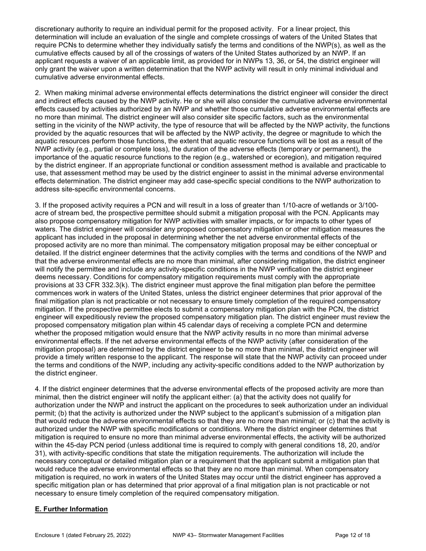discretionary authority to require an individual permit for the proposed activity. For a linear project, this determination will include an evaluation of the single and complete crossings of waters of the United States that require PCNs to determine whether they individually satisfy the terms and conditions of the NWP(s), as well as the cumulative effects caused by all of the crossings of waters of the United States authorized by an NWP. If an applicant requests a waiver of an applicable limit, as provided for in NWPs 13, 36, or 54, the district engineer will only grant the waiver upon a written determination that the NWP activity will result in only minimal individual and cumulative adverse environmental effects.

2. When making minimal adverse environmental effects determinations the district engineer will consider the direct and indirect effects caused by the NWP activity. He or she will also consider the cumulative adverse environmental effects caused by activities authorized by an NWP and whether those cumulative adverse environmental effects are no more than minimal. The district engineer will also consider site specific factors, such as the environmental setting in the vicinity of the NWP activity, the type of resource that will be affected by the NWP activity, the functions provided by the aquatic resources that will be affected by the NWP activity, the degree or magnitude to which the aquatic resources perform those functions, the extent that aquatic resource functions will be lost as a result of the NWP activity (e.g., partial or complete loss), the duration of the adverse effects (temporary or permanent), the importance of the aquatic resource functions to the region (e.g., watershed or ecoregion), and mitigation required by the district engineer. If an appropriate functional or condition assessment method is available and practicable to use, that assessment method may be used by the district engineer to assist in the minimal adverse environmental effects determination. The district engineer may add case-specific special conditions to the NWP authorization to address site-specific environmental concerns.

3. If the proposed activity requires a PCN and will result in a loss of greater than 1/10-acre of wetlands or 3/100 acre of stream bed, the prospective permittee should submit a mitigation proposal with the PCN. Applicants may also propose compensatory mitigation for NWP activities with smaller impacts, or for impacts to other types of waters. The district engineer will consider any proposed compensatory mitigation or other mitigation measures the applicant has included in the proposal in determining whether the net adverse environmental effects of the proposed activity are no more than minimal. The compensatory mitigation proposal may be either conceptual or detailed. If the district engineer determines that the activity complies with the terms and conditions of the NWP and that the adverse environmental effects are no more than minimal, after considering mitigation, the district engineer will notify the permittee and include any activity-specific conditions in the NWP verification the district engineer deems necessary. Conditions for compensatory mitigation requirements must comply with the appropriate provisions at 33 CFR 332.3(k). The district engineer must approve the final mitigation plan before the permittee commences work in waters of the United States, unless the district engineer determines that prior approval of the final mitigation plan is not practicable or not necessary to ensure timely completion of the required compensatory mitigation. If the prospective permittee elects to submit a compensatory mitigation plan with the PCN, the district engineer will expeditiously review the proposed compensatory mitigation plan. The district engineer must review the proposed compensatory mitigation plan within 45 calendar days of receiving a complete PCN and determine whether the proposed mitigation would ensure that the NWP activity results in no more than minimal adverse environmental effects. If the net adverse environmental effects of the NWP activity (after consideration of the mitigation proposal) are determined by the district engineer to be no more than minimal, the district engineer will provide a timely written response to the applicant. The response will state that the NWP activity can proceed under the terms and conditions of the NWP, including any activity-specific conditions added to the NWP authorization by the district engineer.

4. If the district engineer determines that the adverse environmental effects of the proposed activity are more than minimal, then the district engineer will notify the applicant either: (a) that the activity does not qualify for authorization under the NWP and instruct the applicant on the procedures to seek authorization under an individual permit; (b) that the activity is authorized under the NWP subject to the applicant's submission of a mitigation plan that would reduce the adverse environmental effects so that they are no more than minimal; or (c) that the activity is authorized under the NWP with specific modifications or conditions. Where the district engineer determines that mitigation is required to ensure no more than minimal adverse environmental effects, the activity will be authorized within the 45-day PCN period (unless additional time is required to comply with general conditions 18, 20, and/or 31), with activity-specific conditions that state the mitigation requirements. The authorization will include the necessary conceptual or detailed mitigation plan or a requirement that the applicant submit a mitigation plan that would reduce the adverse environmental effects so that they are no more than minimal. When compensatory mitigation is required, no work in waters of the United States may occur until the district engineer has approved a specific mitigation plan or has determined that prior approval of a final mitigation plan is not practicable or not necessary to ensure timely completion of the required compensatory mitigation.

# E. Further Information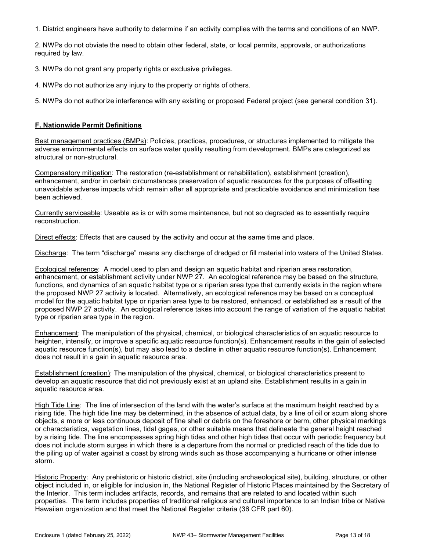1. District engineers have authority to determine if an activity complies with the terms and conditions of an NWP.

2. NWPs do not obviate the need to obtain other federal, state, or local permits, approvals, or authorizations required by law.

3. NWPs do not grant any property rights or exclusive privileges.

4. NWPs do not authorize any injury to the property or rights of others.

5. NWPs do not authorize interference with any existing or proposed Federal project (see general condition 31).

### F. Nationwide Permit Definitions

Best management practices (BMPs): Policies, practices, procedures, or structures implemented to mitigate the adverse environmental effects on surface water quality resulting from development. BMPs are categorized as structural or non-structural.

Compensatory mitigation: The restoration (re-establishment or rehabilitation), establishment (creation), enhancement, and/or in certain circumstances preservation of aquatic resources for the purposes of offsetting unavoidable adverse impacts which remain after all appropriate and practicable avoidance and minimization has been achieved.

Currently serviceable: Useable as is or with some maintenance, but not so degraded as to essentially require reconstruction.

Direct effects: Effects that are caused by the activity and occur at the same time and place.

Discharge: The term "discharge" means any discharge of dredged or fill material into waters of the United States.

Ecological reference: A model used to plan and design an aquatic habitat and riparian area restoration, enhancement, or establishment activity under NWP 27. An ecological reference may be based on the structure, functions, and dynamics of an aquatic habitat type or a riparian area type that currently exists in the region where the proposed NWP 27 activity is located. Alternatively, an ecological reference may be based on a conceptual model for the aquatic habitat type or riparian area type to be restored, enhanced, or established as a result of the proposed NWP 27 activity. An ecological reference takes into account the range of variation of the aquatic habitat type or riparian area type in the region.

Enhancement: The manipulation of the physical, chemical, or biological characteristics of an aquatic resource to heighten, intensify, or improve a specific aquatic resource function(s). Enhancement results in the gain of selected aquatic resource function(s), but may also lead to a decline in other aquatic resource function(s). Enhancement does not result in a gain in aquatic resource area.

Establishment (creation): The manipulation of the physical, chemical, or biological characteristics present to develop an aquatic resource that did not previously exist at an upland site. Establishment results in a gain in aquatic resource area.

High Tide Line: The line of intersection of the land with the water's surface at the maximum height reached by a rising tide. The high tide line may be determined, in the absence of actual data, by a line of oil or scum along shore objects, a more or less continuous deposit of fine shell or debris on the foreshore or berm, other physical markings or characteristics, vegetation lines, tidal gages, or other suitable means that delineate the general height reached by a rising tide. The line encompasses spring high tides and other high tides that occur with periodic frequency but does not include storm surges in which there is a departure from the normal or predicted reach of the tide due to the piling up of water against a coast by strong winds such as those accompanying a hurricane or other intense storm.

Historic Property: Any prehistoric or historic district, site (including archaeological site), building, structure, or other object included in, or eligible for inclusion in, the National Register of Historic Places maintained by the Secretary of the Interior. This term includes artifacts, records, and remains that are related to and located within such properties. The term includes properties of traditional religious and cultural importance to an Indian tribe or Native Hawaiian organization and that meet the National Register criteria (36 CFR part 60).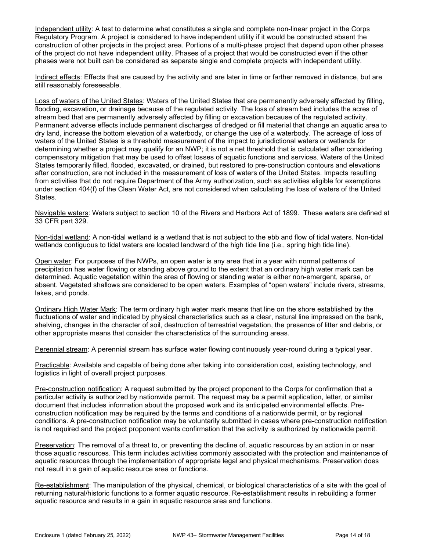Independent utility: A test to determine what constitutes a single and complete non-linear project in the Corps Regulatory Program. A project is considered to have independent utility if it would be constructed absent the construction of other projects in the project area. Portions of a multi-phase project that depend upon other phases of the project do not have independent utility. Phases of a project that would be constructed even if the other phases were not built can be considered as separate single and complete projects with independent utility.

Indirect effects: Effects that are caused by the activity and are later in time or farther removed in distance, but are still reasonably foreseeable.

Loss of waters of the United States: Waters of the United States that are permanently adversely affected by filling, flooding, excavation, or drainage because of the regulated activity. The loss of stream bed includes the acres of stream bed that are permanently adversely affected by filling or excavation because of the regulated activity. Permanent adverse effects include permanent discharges of dredged or fill material that change an aquatic area to dry land, increase the bottom elevation of a waterbody, or change the use of a waterbody. The acreage of loss of waters of the United States is a threshold measurement of the impact to jurisdictional waters or wetlands for determining whether a project may qualify for an NWP; it is not a net threshold that is calculated after considering compensatory mitigation that may be used to offset losses of aquatic functions and services. Waters of the United States temporarily filled, flooded, excavated, or drained, but restored to pre-construction contours and elevations after construction, are not included in the measurement of loss of waters of the United States. Impacts resulting from activities that do not require Department of the Army authorization, such as activities eligible for exemptions under section 404(f) of the Clean Water Act, are not considered when calculating the loss of waters of the United States.

Navigable waters: Waters subject to section 10 of the Rivers and Harbors Act of 1899. These waters are defined at 33 CFR part 329.

Non-tidal wetland: A non-tidal wetland is a wetland that is not subject to the ebb and flow of tidal waters. Non-tidal wetlands contiguous to tidal waters are located landward of the high tide line (i.e., spring high tide line).

Open water: For purposes of the NWPs, an open water is any area that in a year with normal patterns of precipitation has water flowing or standing above ground to the extent that an ordinary high water mark can be determined. Aquatic vegetation within the area of flowing or standing water is either non-emergent, sparse, or absent. Vegetated shallows are considered to be open waters. Examples of "open waters" include rivers, streams, lakes, and ponds.

Ordinary High Water Mark: The term ordinary high water mark means that line on the shore established by the fluctuations of water and indicated by physical characteristics such as a clear, natural line impressed on the bank, shelving, changes in the character of soil, destruction of terrestrial vegetation, the presence of litter and debris, or other appropriate means that consider the characteristics of the surrounding areas.

Perennial stream: A perennial stream has surface water flowing continuously year-round during a typical year.

Practicable: Available and capable of being done after taking into consideration cost, existing technology, and logistics in light of overall project purposes.

Pre-construction notification: A request submitted by the project proponent to the Corps for confirmation that a particular activity is authorized by nationwide permit. The request may be a permit application, letter, or similar document that includes information about the proposed work and its anticipated environmental effects. Preconstruction notification may be required by the terms and conditions of a nationwide permit, or by regional conditions. A pre-construction notification may be voluntarily submitted in cases where pre-construction notification is not required and the project proponent wants confirmation that the activity is authorized by nationwide permit.

Preservation: The removal of a threat to, or preventing the decline of, aquatic resources by an action in or near those aquatic resources. This term includes activities commonly associated with the protection and maintenance of aquatic resources through the implementation of appropriate legal and physical mechanisms. Preservation does not result in a gain of aquatic resource area or functions.

Re-establishment: The manipulation of the physical, chemical, or biological characteristics of a site with the goal of returning natural/historic functions to a former aquatic resource. Re-establishment results in rebuilding a former aquatic resource and results in a gain in aquatic resource area and functions.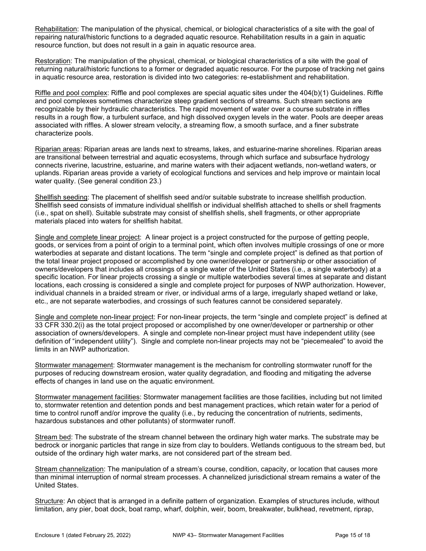Rehabilitation: The manipulation of the physical, chemical, or biological characteristics of a site with the goal of repairing natural/historic functions to a degraded aquatic resource. Rehabilitation results in a gain in aquatic resource function, but does not result in a gain in aquatic resource area.

Restoration: The manipulation of the physical, chemical, or biological characteristics of a site with the goal of returning natural/historic functions to a former or degraded aquatic resource. For the purpose of tracking net gains in aquatic resource area, restoration is divided into two categories: re-establishment and rehabilitation.

Riffle and pool complex: Riffle and pool complexes are special aquatic sites under the 404(b)(1) Guidelines. Riffle and pool complexes sometimes characterize steep gradient sections of streams. Such stream sections are recognizable by their hydraulic characteristics. The rapid movement of water over a course substrate in riffles results in a rough flow, a turbulent surface, and high dissolved oxygen levels in the water. Pools are deeper areas associated with riffles. A slower stream velocity, a streaming flow, a smooth surface, and a finer substrate characterize pools.

Riparian areas: Riparian areas are lands next to streams, lakes, and estuarine-marine shorelines. Riparian areas are transitional between terrestrial and aquatic ecosystems, through which surface and subsurface hydrology connects riverine, lacustrine, estuarine, and marine waters with their adjacent wetlands, non-wetland waters, or uplands. Riparian areas provide a variety of ecological functions and services and help improve or maintain local water quality. (See general condition 23.)

Shellfish seeding: The placement of shellfish seed and/or suitable substrate to increase shellfish production. Shellfish seed consists of immature individual shellfish or individual shellfish attached to shells or shell fragments (i.e., spat on shell). Suitable substrate may consist of shellfish shells, shell fragments, or other appropriate materials placed into waters for shellfish habitat.

Single and complete linear project: A linear project is a project constructed for the purpose of getting people, goods, or services from a point of origin to a terminal point, which often involves multiple crossings of one or more waterbodies at separate and distant locations. The term "single and complete project" is defined as that portion of the total linear project proposed or accomplished by one owner/developer or partnership or other association of owners/developers that includes all crossings of a single water of the United States (i.e., a single waterbody) at a specific location. For linear projects crossing a single or multiple waterbodies several times at separate and distant locations, each crossing is considered a single and complete project for purposes of NWP authorization. However, individual channels in a braided stream or river, or individual arms of a large, irregularly shaped wetland or lake, etc., are not separate waterbodies, and crossings of such features cannot be considered separately.

Single and complete non-linear project: For non-linear projects, the term "single and complete project" is defined at 33 CFR 330.2(i) as the total project proposed or accomplished by one owner/developer or partnership or other association of owners/developers. A single and complete non-linear project must have independent utility (see definition of "independent utility"). Single and complete non-linear projects may not be "piecemealed" to avoid the limits in an NWP authorization.

Stormwater management: Stormwater management is the mechanism for controlling stormwater runoff for the purposes of reducing downstream erosion, water quality degradation, and flooding and mitigating the adverse effects of changes in land use on the aquatic environment.

Stormwater management facilities: Stormwater management facilities are those facilities, including but not limited to, stormwater retention and detention ponds and best management practices, which retain water for a period of time to control runoff and/or improve the quality (i.e., by reducing the concentration of nutrients, sediments, hazardous substances and other pollutants) of stormwater runoff.

Stream bed: The substrate of the stream channel between the ordinary high water marks. The substrate may be bedrock or inorganic particles that range in size from clay to boulders. Wetlands contiguous to the stream bed, but outside of the ordinary high water marks, are not considered part of the stream bed.

Stream channelization: The manipulation of a stream's course, condition, capacity, or location that causes more than minimal interruption of normal stream processes. A channelized jurisdictional stream remains a water of the United States.

Structure: An object that is arranged in a definite pattern of organization. Examples of structures include, without limitation, any pier, boat dock, boat ramp, wharf, dolphin, weir, boom, breakwater, bulkhead, revetment, riprap,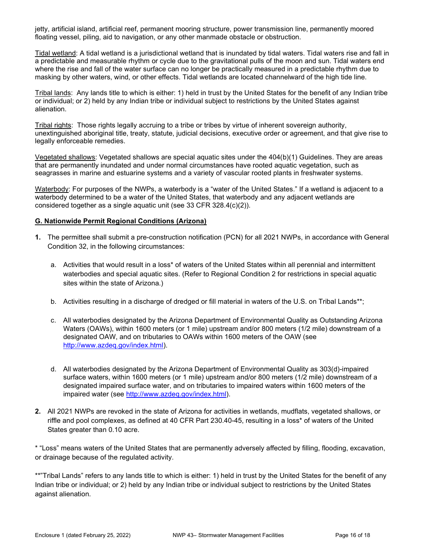jetty, artificial island, artificial reef, permanent mooring structure, power transmission line, permanently moored floating vessel, piling, aid to navigation, or any other manmade obstacle or obstruction.

Tidal wetland: A tidal wetland is a jurisdictional wetland that is inundated by tidal waters. Tidal waters rise and fall in a predictable and measurable rhythm or cycle due to the gravitational pulls of the moon and sun. Tidal waters end where the rise and fall of the water surface can no longer be practically measured in a predictable rhythm due to masking by other waters, wind, or other effects. Tidal wetlands are located channelward of the high tide line.

Tribal lands: Any lands title to which is either: 1) held in trust by the United States for the benefit of any Indian tribe or individual; or 2) held by any Indian tribe or individual subject to restrictions by the United States against alienation.

Tribal rights: Those rights legally accruing to a tribe or tribes by virtue of inherent sovereign authority, unextinguished aboriginal title, treaty, statute, judicial decisions, executive order or agreement, and that give rise to legally enforceable remedies.

Vegetated shallows: Vegetated shallows are special aquatic sites under the 404(b)(1) Guidelines. They are areas that are permanently inundated and under normal circumstances have rooted aquatic vegetation, such as seagrasses in marine and estuarine systems and a variety of vascular rooted plants in freshwater systems.

Waterbody: For purposes of the NWPs, a waterbody is a "water of the United States." If a wetland is adiacent to a waterbody determined to be a water of the United States, that waterbody and any adjacent wetlands are considered together as a single aquatic unit (see 33 CFR 328.4(c)(2)).

#### G. Nationwide Permit Regional Conditions (Arizona)

- 1. The permittee shall submit a pre-construction notification (PCN) for all 2021 NWPs, in accordance with General Condition 32, in the following circumstances:
	- a. Activities that would result in a loss\* of waters of the United States within all perennial and intermittent waterbodies and special aquatic sites. (Refer to Regional Condition 2 for restrictions in special aquatic sites within the state of Arizona.)
	- b. Activities resulting in a discharge of dredged or fill material in waters of the U.S. on Tribal Lands\*\*;
	- c. All waterbodies designated by the Arizona Department of Environmental Quality as Outstanding Arizona Waters (OAWs), within 1600 meters (or 1 mile) upstream and/or 800 meters (1/2 mile) downstream of a designated OAW, and on tributaries to OAWs within 1600 meters of the OAW (see http://www.azdeq.gov/index.html).
	- d. All waterbodies designated by the Arizona Department of Environmental Quality as 303(d)-impaired surface waters, within 1600 meters (or 1 mile) upstream and/or 800 meters (1/2 mile) downstream of a designated impaired surface water, and on tributaries to impaired waters within 1600 meters of the impaired water (see http://www.azdeq.gov/index.html).
- 2. All 2021 NWPs are revoked in the state of Arizona for activities in wetlands, mudflats, vegetated shallows, or riffle and pool complexes, as defined at 40 CFR Part 230.40-45, resulting in a loss\* of waters of the United States greater than 0.10 acre.

\* "Loss" means waters of the United States that are permanently adversely affected by filling, flooding, excavation, or drainage because of the regulated activity.

\*\*"Tribal Lands" refers to any lands title to which is either: 1) held in trust by the United States for the benefit of any Indian tribe or individual; or 2) held by any Indian tribe or individual subject to restrictions by the United States against alienation.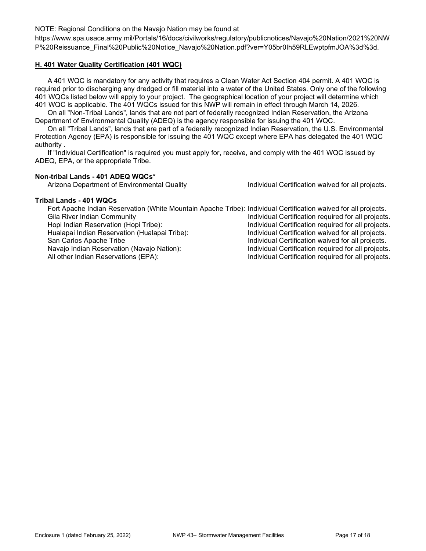#### NOTE: Regional Conditions on the Navajo Nation may be found at

https://www.spa.usace.army.mil/Portals/16/docs/civilworks/regulatory/publicnotices/Navajo%20Nation/2021%20NW P%20Reissuance\_Final%20Public%20Notice\_Navajo%20Nation.pdf?ver=Y05br0Ih59RLEwptpfmJOA%3d%3d.

## H. 401 Water Quality Certification (401 WQC)

 A 401 WQC is mandatory for any activity that requires a Clean Water Act Section 404 permit. A 401 WQC is required prior to discharging any dredged or fill material into a water of the United States. Only one of the following 401 WQCs listed below will apply to your project. The geographical location of your project will determine which 401 WQC is applicable. The 401 WQCs issued for this NWP will remain in effect through March 14, 2026.

 On all "Non-Tribal Lands", lands that are not part of federally recognized Indian Reservation, the Arizona Department of Environmental Quality (ADEQ) is the agency responsible for issuing the 401 WQC.

 On all "Tribal Lands", lands that are part of a federally recognized Indian Reservation, the U.S. Environmental Protection Agency (EPA) is responsible for issuing the 401 WQC except where EPA has delegated the 401 WQC authority .

 If "Individual Certification" is required you must apply for, receive, and comply with the 401 WQC issued by ADEQ, EPA, or the appropriate Tribe.

#### Non-tribal Lands - 401 ADEQ WQCs\*

Arizona Department of Environmental Quality **Individual Certification waived for all projects.** 

#### Tribal Lands - 401 WQCs

| Fort Apache Indian Reservation (White Mountain Apache Tribe): Individual Certification waived for all projects. |                                                     |
|-----------------------------------------------------------------------------------------------------------------|-----------------------------------------------------|
| Gila River Indian Community                                                                                     | Individual Certification required for all projects. |
| Hopi Indian Reservation (Hopi Tribe):                                                                           | Individual Certification required for all projects. |
| Hualapai Indian Reservation (Hualapai Tribe):                                                                   | Individual Certification waived for all projects.   |
| San Carlos Apache Tribe                                                                                         | Individual Certification waived for all projects.   |
| Navajo Indian Reservation (Navajo Nation):                                                                      | Individual Certification required for all projects. |
| All other Indian Reservations (EPA):                                                                            | Individual Certification required for all projects. |
|                                                                                                                 |                                                     |